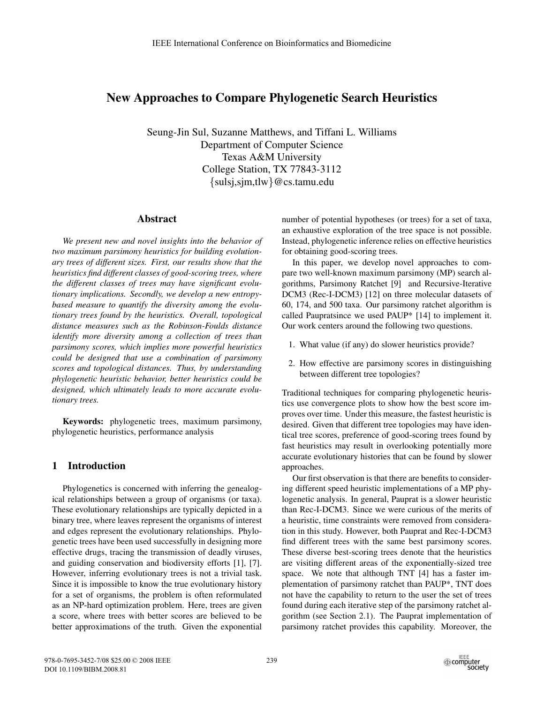# **New Approaches to Compare Phylogenetic Search Heuristics**

Seung-Jin Sul, Suzanne Matthews, and Tiffani L. Williams Department of Computer Science Texas A&M University College Station, TX 77843-3112 {sulsj,sjm,tlw}@cs.tamu.edu

## **Abstract**

*We present new and novel insights into the behavior of two maximum parsimony heuristics for building evolutionary trees of different sizes. First, our results show that the heuristics find different classes of good-scoring trees, where the different classes of trees may have significant evolutionary implications. Secondly, we develop a new entropybased measure to quantify the diversity among the evolutionary trees found by the heuristics. Overall, topological distance measures such as the Robinson-Foulds distance identify more diversity among a collection of trees than parsimony scores, which implies more powerful heuristics could be designed that use a combination of parsimony scores and topological distances. Thus, by understanding phylogenetic heuristic behavior, better heuristics could be designed, which ultimately leads to more accurate evolutionary trees.*

**Keywords:** phylogenetic trees, maximum parsimony, phylogenetic heuristics, performance analysis

## **1 Introduction**

Phylogenetics is concerned with inferring the genealogical relationships between a group of organisms (or taxa). These evolutionary relationships are typically depicted in a binary tree, where leaves represent the organisms of interest and edges represent the evolutionary relationships. Phylogenetic trees have been used successfully in designing more effective drugs, tracing the transmission of deadly viruses, and guiding conservation and biodiversity efforts [1], [7]. However, inferring evolutionary trees is not a trivial task. Since it is impossible to know the true evolutionary history for a set of organisms, the problem is often reformulated as an NP-hard optimization problem. Here, trees are given a score, where trees with better scores are believed to be better approximations of the truth. Given the exponential

number of potential hypotheses (or trees) for a set of taxa, an exhaustive exploration of the tree space is not possible. Instead, phylogenetic inference relies on effective heuristics for obtaining good-scoring trees.

In this paper, we develop novel approaches to compare two well-known maximum parsimony (MP) search algorithms, Parsimony Ratchet [9] and Recursive-Iterative DCM3 (Rec-I-DCM3) [12] on three molecular datasets of 60, 174, and 500 taxa. Our parsimony ratchet algorithm is called Paupratsince we used PAUP\* [14] to implement it. Our work centers around the following two questions.

- 1. What value (if any) do slower heuristics provide?
- 2. How effective are parsimony scores in distinguishing between different tree topologies?

Traditional techniques for comparing phylogenetic heuristics use convergence plots to show how the best score improves over time. Under this measure, the fastest heuristic is desired. Given that different tree topologies may have identical tree scores, preference of good-scoring trees found by fast heuristics may result in overlooking potentially more accurate evolutionary histories that can be found by slower approaches.

Our first observation is that there are benefits to considering different speed heuristic implementations of a MP phylogenetic analysis. In general, Pauprat is a slower heuristic than Rec-I-DCM3. Since we were curious of the merits of a heuristic, time constraints were removed from consideration in this study. However, both Pauprat and Rec-I-DCM3 find different trees with the same best parsimony scores. These diverse best-scoring trees denote that the heuristics are visiting different areas of the exponentially-sized tree space. We note that although TNT [4] has a faster implementation of parsimony ratchet than PAUP\*, TNT does not have the capability to return to the user the set of trees found during each iterative step of the parsimony ratchet algorithm (see Section 2.1). The Pauprat implementation of parsimony ratchet provides this capability. Moreover, the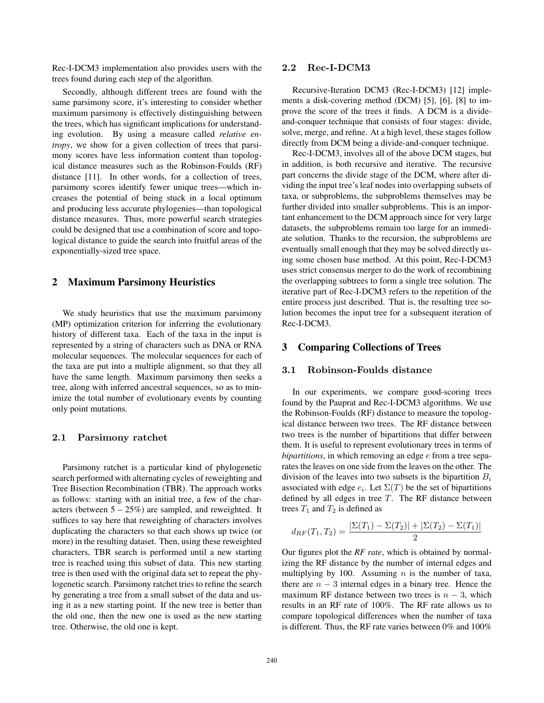Rec-I-DCM3 implementation also provides users with the trees found during each step of the algorithm.

Secondly, although different trees are found with the same parsimony score, it's interesting to consider whether maximum parsimony is effectively distinguishing between the trees, which has significant implications for understanding evolution. By using a measure called *relative entropy*, we show for a given collection of trees that parsimony scores have less information content than topological distance measures such as the Robinson-Foulds (RF) distance [11]. In other words, for a collection of trees, parsimony scores identify fewer unique trees—which increases the potential of being stuck in a local optimum and producing less accurate phylogenies—than topological distance measures. Thus, more powerful search strategies could be designed that use a combination of score and topological distance to guide the search into fruitful areas of the exponentially-sized tree space.

## **2 Maximum Parsimony Heuristics**

We study heuristics that use the maximum parsimony (MP) optimization criterion for inferring the evolutionary history of different taxa. Each of the taxa in the input is represented by a string of characters such as DNA or RNA molecular sequences. The molecular sequences for each of the taxa are put into a multiple alignment, so that they all have the same length. Maximum parsimony then seeks a tree, along with inferred ancestral sequences, so as to minimize the total number of evolutionary events by counting only point mutations.

## **2.1 Parsimony ratchet**

Parsimony ratchet is a particular kind of phylogenetic search performed with alternating cycles of reweighting and Tree Bisection Recombination (TBR). The approach works as follows: starting with an initial tree, a few of the characters (between  $5 - 25\%$ ) are sampled, and reweighted. It suffices to say here that reweighting of characters involves duplicating the characters so that each shows up twice (or more) in the resulting dataset. Then, using these reweighted characters, TBR search is performed until a new starting tree is reached using this subset of data. This new starting tree is then used with the original data set to repeat the phylogenetic search. Parsimony ratchet tries to refine the search by generating a tree from a small subset of the data and using it as a new starting point. If the new tree is better than the old one, then the new one is used as the new starting tree. Otherwise, the old one is kept.

## **2.2 Rec-I-DCM3**

Recursive-Iteration DCM3 (Rec-I-DCM3) [12] implements a disk-covering method (DCM) [5], [6], [8] to improve the score of the trees it finds. A DCM is a divideand-conquer technique that consists of four stages: divide, solve, merge, and refine. At a high level, these stages follow directly from DCM being a divide-and-conquer technique.

Rec-I-DCM3, involves all of the above DCM stages, but in addition, is both recursive and iterative. The recursive part concerns the divide stage of the DCM, where after dividing the input tree's leaf nodes into overlapping subsets of taxa, or subproblems, the subproblems themselves may be further divided into smaller subproblems. This is an important enhancement to the DCM approach since for very large datasets, the subproblems remain too large for an immediate solution. Thanks to the recursion, the subproblems are eventually small enough that they may be solved directly using some chosen base method. At this point, Rec-I-DCM3 uses strict consensus merger to do the work of recombining the overlapping subtrees to form a single tree solution. The iterative part of Rec-I-DCM3 refers to the repetition of the entire process just described. That is, the resulting tree solution becomes the input tree for a subsequent iteration of Rec-I-DCM3.

## **3 Comparing Collections of Trees**

### **3.1 Robinson-Foulds distance**

In our experiments, we compare good-scoring trees found by the Pauprat and Rec-I-DCM3 algorithms. We use the Robinson-Foulds (RF) distance to measure the topological distance between two trees. The RF distance between two trees is the number of bipartitions that differ between them. It is useful to represent evolutionary trees in terms of *bipartitions*, in which removing an edge  $e$  from a tree separates the leaves on one side from the leaves on the other. The division of the leaves into two subsets is the bipartition  $B_i$ associated with edge  $e_i$ . Let  $\Sigma(T)$  be the set of bipartitions defined by all edges in tree  $T$ . The RF distance between trees  $T_1$  and  $T_2$  is defined as

$$
d_{RF}(T_1, T_2) = \frac{|\Sigma(T_1) - \Sigma(T_2)| + |\Sigma(T_2) - \Sigma(T_1)|}{2}
$$

Our figures plot the *RF rate*, which is obtained by normalizing the RF distance by the number of internal edges and multiplying by 100. Assuming  $n$  is the number of taxa, there are  $n - 3$  internal edges in a binary tree. Hence the maximum RF distance between two trees is  $n - 3$ , which results in an RF rate of 100%. The RF rate allows us to compare topological differences when the number of taxa is different. Thus, the RF rate varies between 0% and 100%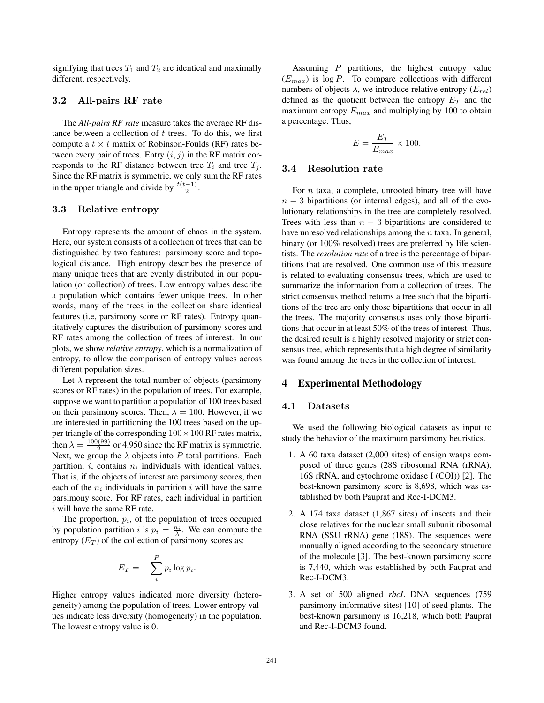signifying that trees  $T_1$  and  $T_2$  are identical and maximally different, respectively.

### **3.2 All-pairs RF rate**

The *All-pairs RF rate* measure takes the average RF distance between a collection of  $t$  trees. To do this, we first compute a  $t \times t$  matrix of Robinson-Foulds (RF) rates between every pair of trees. Entry  $(i, j)$  in the RF matrix corresponds to the RF distance between tree  $T_i$  and tree  $T_j$ . Since the RF matrix is symmetric, we only sum the RF rates in the upper triangle and divide by  $\frac{t(t-1)}{2}$ .

## **3.3 Relative entropy**

Entropy represents the amount of chaos in the system. Here, our system consists of a collection of trees that can be distinguished by two features: parsimony score and topological distance. High entropy describes the presence of many unique trees that are evenly distributed in our population (or collection) of trees. Low entropy values describe a population which contains fewer unique trees. In other words, many of the trees in the collection share identical features (i.e, parsimony score or RF rates). Entropy quantitatively captures the distribution of parsimony scores and RF rates among the collection of trees of interest. In our plots, we show *relative entropy*, which is a normalization of entropy, to allow the comparison of entropy values across different population sizes.

Let  $\lambda$  represent the total number of objects (parsimony scores or RF rates) in the population of trees. For example, suppose we want to partition a population of 100 trees based on their parsimony scores. Then,  $\lambda = 100$ . However, if we are interested in partitioning the 100 trees based on the upper triangle of the corresponding  $100 \times 100$  RF rates matrix, then  $\lambda = \frac{100(99)}{2}$  or 4,950 since the RF matrix is symmetric. Next, we group the  $\lambda$  objects into P total partitions. Each partition,  $i$ , contains  $n_i$  individuals with identical values. That is, if the objects of interest are parsimony scores, then each of the  $n_i$  individuals in partition i will have the same parsimony score. For RF rates, each individual in partition  $i$  will have the same RF rate.

The proportion,  $p_i$ , of the population of trees occupied by population partition i is  $p_i = \frac{n_i}{\lambda}$ . We can compute the entropy  $(F_{\text{F}})$  of the collection of parsimony scores as: entropy  $(E_T)$  of the collection of parsimony scores as:

$$
E_T = -\sum_{i}^{P} p_i \log p_i.
$$

Higher entropy values indicated more diversity (heterogeneity) among the population of trees. Lower entropy values indicate less diversity (homogeneity) in the population. The lowest entropy value is 0.

Assuming P partitions, the highest entropy value  $(E_{max})$  is  $log P$ . To compare collections with different numbers of objects  $\lambda$ , we introduce relative entropy  $(E_{rel})$ defined as the quotient between the entropy  $E_T$  and the maximum entropy  $E_{max}$  and multiplying by 100 to obtain a percentage. Thus,

$$
E = \frac{E_T}{E_{max}} \times 100.
$$

#### **3.4 Resolution rate**

For n taxa, a complete, unrooted binary tree will have  $n - 3$  bipartitions (or internal edges), and all of the evolutionary relationships in the tree are completely resolved. Trees with less than  $n - 3$  bipartitions are considered to have unresolved relationships among the n taxa. In general, binary (or  $100\%$  resolved) trees are preferred by life scientists. The *resolution rate* of a tree is the percentage of bipartitions that are resolved. One common use of this measure is related to evaluating consensus trees, which are used to summarize the information from a collection of trees. The strict consensus method returns a tree such that the bipartitions of the tree are only those bipartitions that occur in all the trees. The majority consensus uses only those bipartitions that occur in at least 50% of the trees of interest. Thus, the desired result is a highly resolved majority or strict consensus tree, which represents that a high degree of similarity was found among the trees in the collection of interest.

#### **4 Experimental Methodology**

#### **4.1 Datasets**

We used the following biological datasets as input to study the behavior of the maximum parsimony heuristics.

- 1. A 60 taxa dataset (2,000 sites) of ensign wasps composed of three genes (28S ribosomal RNA (rRNA), 16S rRNA, and cytochrome oxidase I (COI)) [2]. The best-known parsimony score is 8,698, which was established by both Pauprat and Rec-I-DCM3.
- 2. A 174 taxa dataset (1,867 sites) of insects and their close relatives for the nuclear small subunit ribosomal RNA (SSU rRNA) gene (18S). The sequences were manually aligned according to the secondary structure of the molecule [3]. The best-known parsimony score is 7,440, which was established by both Pauprat and Rec-I-DCM3.
- 3. A set of 500 aligned *rbcL* DNA sequences (759 parsimony-informative sites) [10] of seed plants. The best-known parsimony is 16,218, which both Pauprat and Rec-I-DCM3 found.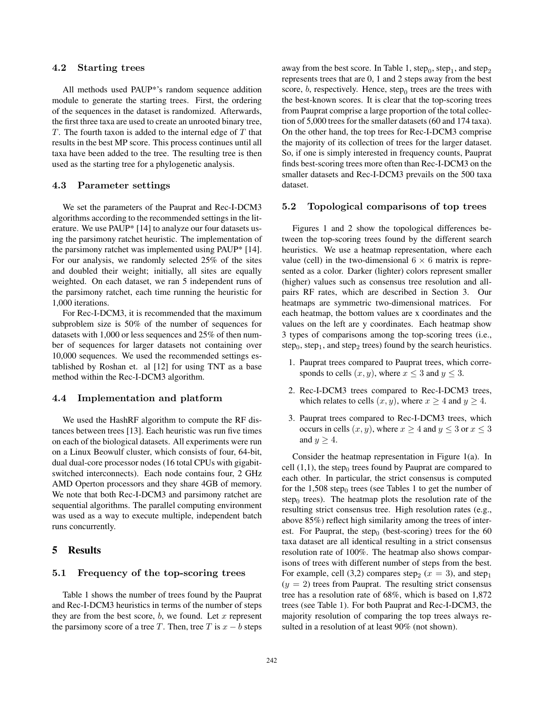## **4.2 Starting trees**

All methods used PAUP\*'s random sequence addition module to generate the starting trees. First, the ordering of the sequences in the dataset is randomized. Afterwards, the first three taxa are used to create an unrooted binary tree,  $T$ . The fourth taxon is added to the internal edge of  $T$  that results in the best MP score. This process continues until all taxa have been added to the tree. The resulting tree is then used as the starting tree for a phylogenetic analysis.

### **4.3 Parameter settings**

We set the parameters of the Pauprat and Rec-I-DCM3 algorithms according to the recommended settings in the literature. We use PAUP\* [14] to analyze our four datasets using the parsimony ratchet heuristic. The implementation of the parsimony ratchet was implemented using PAUP\* [14]. For our analysis, we randomly selected 25% of the sites and doubled their weight; initially, all sites are equally weighted. On each dataset, we ran 5 independent runs of the parsimony ratchet, each time running the heuristic for 1,000 iterations.

For Rec-I-DCM3, it is recommended that the maximum subproblem size is 50% of the number of sequences for datasets with 1,000 or less sequences and 25% of then number of sequences for larger datasets not containing over 10,000 sequences. We used the recommended settings established by Roshan et. al [12] for using TNT as a base method within the Rec-I-DCM3 algorithm.

### **4.4 Implementation and platform**

We used the HashRF algorithm to compute the RF distances between trees [13]. Each heuristic was run five times on each of the biological datasets. All experiments were run on a Linux Beowulf cluster, which consists of four, 64-bit, dual dual-core processor nodes (16 total CPUs with gigabitswitched interconnects). Each node contains four, 2 GHz AMD Operton processors and they share 4GB of memory. We note that both Rec-I-DCM3 and parsimony ratchet are sequential algorithms. The parallel computing environment was used as a way to execute multiple, independent batch runs concurrently.

### **5 Results**

### **5.1 Frequency of the top-scoring trees**

Table 1 shows the number of trees found by the Pauprat and Rec-I-DCM3 heuristics in terms of the number of steps they are from the best score,  $b$ , we found. Let  $x$  represent the parsimony score of a tree T. Then, tree T is  $x - b$  steps away from the best score. In Table 1,  $step_0$ ,  $step_1$ , and  $step_2$ represents trees that are 0, 1 and 2 steps away from the best score, b, respectively. Hence, step<sub>0</sub> trees are the trees with the best-known scores. It is clear that the top-scoring trees from Pauprat comprise a large proportion of the total collection of 5,000 trees for the smaller datasets (60 and 174 taxa). On the other hand, the top trees for Rec-I-DCM3 comprise the majority of its collection of trees for the larger dataset. So, if one is simply interested in frequency counts, Pauprat finds best-scoring trees more often than Rec-I-DCM3 on the smaller datasets and Rec-I-DCM3 prevails on the 500 taxa dataset.

#### **5.2 Topological comparisons of top trees**

Figures 1 and 2 show the topological differences between the top-scoring trees found by the different search heuristics. We use a heatmap representation, where each value (cell) in the two-dimensional  $6 \times 6$  matrix is represented as a color. Darker (lighter) colors represent smaller (higher) values such as consensus tree resolution and allpairs RF rates, which are described in Section 3. Our heatmaps are symmetric two-dimensional matrices. For each heatmap, the bottom values are x coordinates and the values on the left are y coordinates. Each heatmap show 3 types of comparisons among the top-scoring trees (i.e., step<sub>0</sub>, step<sub>1</sub>, and step<sub>2</sub> trees) found by the search heuristics.

- 1. Pauprat trees compared to Pauprat trees, which corresponds to cells  $(x, y)$ , where  $x \le 3$  and  $y \le 3$ .
- 2. Rec-I-DCM3 trees compared to Rec-I-DCM3 trees, which relates to cells  $(x, y)$ , where  $x \ge 4$  and  $y \ge 4$ .
- 3. Pauprat trees compared to Rec-I-DCM3 trees, which occurs in cells  $(x, y)$ , where  $x \ge 4$  and  $y \le 3$  or  $x \le 3$ and  $y \geq 4$ .

Consider the heatmap representation in Figure 1(a). In cell  $(1,1)$ , the step<sub>0</sub> trees found by Pauprat are compared to each other. In particular, the strict consensus is computed for the 1,508 step $_0$  trees (see Tables 1 to get the number of step<sub>0</sub> trees). The heatmap plots the resolution rate of the resulting strict consensus tree. High resolution rates (e.g., above 85%) reflect high similarity among the trees of interest. For Pauprat, the step $_0$  (best-scoring) trees for the 60 taxa dataset are all identical resulting in a strict consensus resolution rate of 100%. The heatmap also shows comparisons of trees with different number of steps from the best. For example, cell (3,2) compares step<sub>2</sub> ( $x = 3$ ), and step<sub>1</sub>  $(y = 2)$  trees from Pauprat. The resulting strict consensus tree has a resolution rate of 68%, which is based on 1,872 trees (see Table 1). For both Pauprat and Rec-I-DCM3, the majority resolution of comparing the top trees always resulted in a resolution of at least 90% (not shown).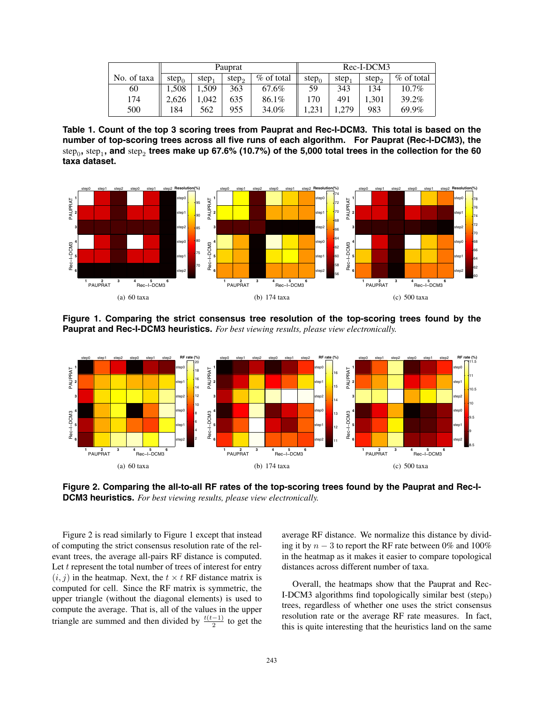|             | Pauprat   |                   |       |            | Rec-I-DCM3        |            |       |            |
|-------------|-----------|-------------------|-------|------------|-------------------|------------|-------|------------|
| No. of taxa | step $_0$ | step <sub>1</sub> | step. | % of total | step <sub>0</sub> | $step_{1}$ | step. | % of total |
| 60          | .508      | .509              | 363   | 67.6%      | 59                | 343        | 134   | 10.7%      |
| 174         | 2,626     | .042              | 635   | 86.1%      | 170               | 491        | 1.301 | 39.2%      |
| 500         | 184       | 562               | 955   | 34.0%      | .231              | ,279       | 983   | 69.9%      |

**Table 1. Count of the top 3 scoring trees from Pauprat and Rec-I-DCM3. This total is based on the number of top-scoring trees across all five runs of each algorithm. For Pauprat (Rec-I-DCM3), the** step<sub>0</sub>, step<sub>1</sub>, and step<sub>2</sub> trees make up 67.6% (10.7%) of the 5,000 total trees in the collection for the 60 **taxa dataset.**



**Figure 1. Comparing the strict consensus tree resolution of the top-scoring trees found by the Pauprat and Rec-I-DCM3 heuristics.** *For best viewing results, please view electronically.*



**Figure 2. Comparing the all-to-all RF rates of the top-scoring trees found by the Pauprat and Rec-I-DCM3 heuristics.** *For best viewing results, please view electronically.*

Figure 2 is read similarly to Figure 1 except that instead of computing the strict consensus resolution rate of the relevant trees, the average all-pairs RF distance is computed. Let  $t$  represent the total number of trees of interest for entry  $(i, j)$  in the heatmap. Next, the  $t \times t$  RF distance matrix is computed for cell. Since the RF matrix is symmetric, the upper triangle (without the diagonal elements) is used to compute the average. That is, all of the values in the upper triangle are summed and then divided by  $\frac{t(t-1)}{2}$  to get the

average RF distance. We normalize this distance by dividing it by  $n - 3$  to report the RF rate between 0% and 100% in the heatmap as it makes it easier to compare topological distances across different number of taxa.

Overall, the heatmaps show that the Pauprat and Rec-I-DCM3 algorithms find topologically similar best (step $<sub>0</sub>$ )</sub> trees, regardless of whether one uses the strict consensus resolution rate or the average RF rate measures. In fact, this is quite interesting that the heuristics land on the same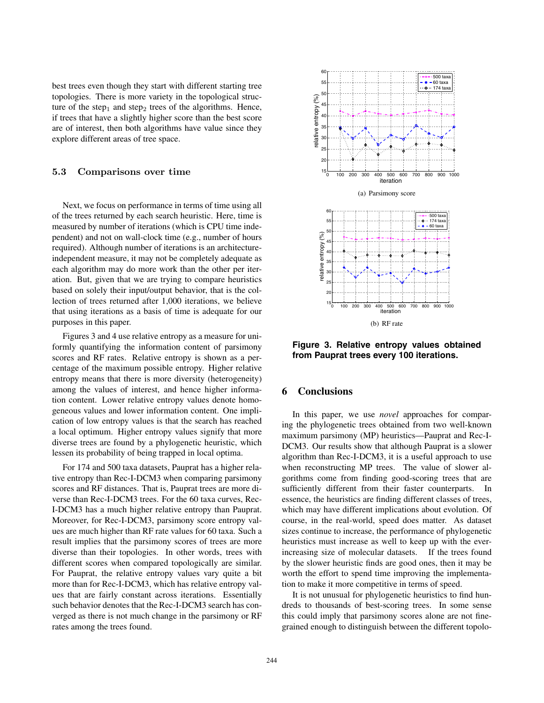best trees even though they start with different starting tree topologies. There is more variety in the topological structure of the step<sub>1</sub> and step<sub>2</sub> trees of the algorithms. Hence, if trees that have a slightly higher score than the best score are of interest, then both algorithms have value since they explore different areas of tree space.

## **5.3 Comparisons over time**

Next, we focus on performance in terms of time using all of the trees returned by each search heuristic. Here, time is measured by number of iterations (which is CPU time independent) and not on wall-clock time (e.g., number of hours required). Although number of iterations is an architectureindependent measure, it may not be completely adequate as each algorithm may do more work than the other per iteration. But, given that we are trying to compare heuristics based on solely their input/output behavior, that is the collection of trees returned after 1,000 iterations, we believe that using iterations as a basis of time is adequate for our purposes in this paper.

Figures 3 and 4 use relative entropy as a measure for uniformly quantifying the information content of parsimony scores and RF rates. Relative entropy is shown as a percentage of the maximum possible entropy. Higher relative entropy means that there is more diversity (heterogeneity) among the values of interest, and hence higher information content. Lower relative entropy values denote homogeneous values and lower information content. One implication of low entropy values is that the search has reached a local optimum. Higher entropy values signify that more diverse trees are found by a phylogenetic heuristic, which lessen its probability of being trapped in local optima.

For 174 and 500 taxa datasets, Pauprat has a higher relative entropy than Rec-I-DCM3 when comparing parsimony scores and RF distances. That is, Pauprat trees are more diverse than Rec-I-DCM3 trees. For the 60 taxa curves, Rec-I-DCM3 has a much higher relative entropy than Pauprat. Moreover, for Rec-I-DCM3, parsimony score entropy values are much higher than RF rate values for 60 taxa. Such a result implies that the parsimony scores of trees are more diverse than their topologies. In other words, trees with different scores when compared topologically are similar. For Pauprat, the relative entropy values vary quite a bit more than for Rec-I-DCM3, which has relative entropy values that are fairly constant across iterations. Essentially such behavior denotes that the Rec-I-DCM3 search has converged as there is not much change in the parsimony or RF rates among the trees found.



**Figure 3. Relative entropy values obtained from Pauprat trees every 100 iterations.**

## **6 Conclusions**

In this paper, we use *novel* approaches for comparing the phylogenetic trees obtained from two well-known maximum parsimony (MP) heuristics—Pauprat and Rec-I-DCM3. Our results show that although Pauprat is a slower algorithm than Rec-I-DCM3, it is a useful approach to use when reconstructing MP trees. The value of slower algorithms come from finding good-scoring trees that are sufficiently different from their faster counterparts. In essence, the heuristics are finding different classes of trees, which may have different implications about evolution. Of course, in the real-world, speed does matter. As dataset sizes continue to increase, the performance of phylogenetic heuristics must increase as well to keep up with the everincreasing size of molecular datasets. If the trees found by the slower heuristic finds are good ones, then it may be worth the effort to spend time improving the implementation to make it more competitive in terms of speed.

It is not unusual for phylogenetic heuristics to find hundreds to thousands of best-scoring trees. In some sense this could imply that parsimony scores alone are not finegrained enough to distinguish between the different topolo-